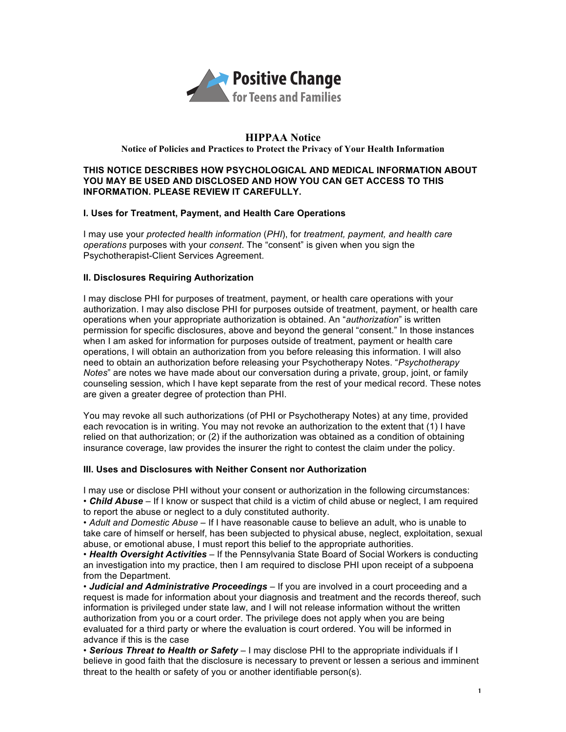

## **HIPPAA Notice Notice of Policies and Practices to Protect the Privacy of Your Health Information**

#### **THIS NOTICE DESCRIBES HOW PSYCHOLOGICAL AND MEDICAL INFORMATION ABOUT YOU MAY BE USED AND DISCLOSED AND HOW YOU CAN GET ACCESS TO THIS INFORMATION. PLEASE REVIEW IT CAREFULLY.**

### **I. Uses for Treatment, Payment, and Health Care Operations**

I may use your *protected health information* (*PHI*), for *treatment, payment, and health care operations* purposes with your *consent*. The "consent" is given when you sign the Psychotherapist-Client Services Agreement.

### **II. Disclosures Requiring Authorization**

I may disclose PHI for purposes of treatment, payment, or health care operations with your authorization. I may also disclose PHI for purposes outside of treatment, payment, or health care operations when your appropriate authorization is obtained. An "*authorization*" is written permission for specific disclosures, above and beyond the general "consent." In those instances when I am asked for information for purposes outside of treatment, payment or health care operations, I will obtain an authorization from you before releasing this information. I will also need to obtain an authorization before releasing your Psychotherapy Notes. "*Psychotherapy Notes*" are notes we have made about our conversation during a private, group, joint, or family counseling session, which I have kept separate from the rest of your medical record. These notes are given a greater degree of protection than PHI.

You may revoke all such authorizations (of PHI or Psychotherapy Notes) at any time, provided each revocation is in writing. You may not revoke an authorization to the extent that (1) I have relied on that authorization; or (2) if the authorization was obtained as a condition of obtaining insurance coverage, law provides the insurer the right to contest the claim under the policy.

#### **III. Uses and Disclosures with Neither Consent nor Authorization**

I may use or disclose PHI without your consent or authorization in the following circumstances: • *Child Abuse* – If I know or suspect that child is a victim of child abuse or neglect, I am required

to report the abuse or neglect to a duly constituted authority. • *Adult and Domestic Abuse* – If I have reasonable cause to believe an adult, who is unable to take care of himself or herself, has been subjected to physical abuse, neglect, exploitation, sexual abuse, or emotional abuse, I must report this belief to the appropriate authorities.

• *Health Oversight Activities* – If the Pennsylvania State Board of Social Workers is conducting an investigation into my practice, then I am required to disclose PHI upon receipt of a subpoena from the Department.

• *Judicial and Administrative Proceedings* – If you are involved in a court proceeding and a request is made for information about your diagnosis and treatment and the records thereof, such information is privileged under state law, and I will not release information without the written authorization from you or a court order. The privilege does not apply when you are being evaluated for a third party or where the evaluation is court ordered. You will be informed in advance if this is the case

• *Serious Threat to Health or Safety* – I may disclose PHI to the appropriate individuals if I believe in good faith that the disclosure is necessary to prevent or lessen a serious and imminent threat to the health or safety of you or another identifiable person(s).